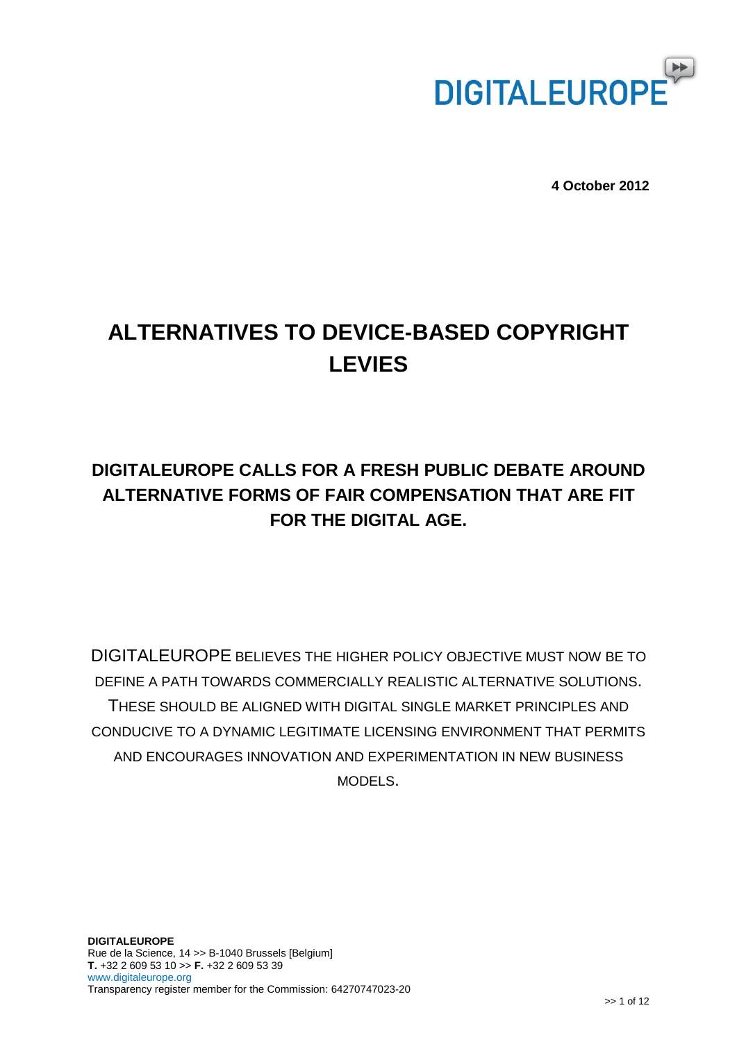

**4 October 2012**

# **ALTERNATIVES TO DEVICE-BASED COPYRIGHT LEVIES**

# **DIGITALEUROPE CALLS FOR A FRESH PUBLIC DEBATE AROUND ALTERNATIVE FORMS OF FAIR COMPENSATION THAT ARE FIT FOR THE DIGITAL AGE.**

DIGITALEUROPE BELIEVES THE HIGHER POLICY OBJECTIVE MUST NOW BE TO DEFINE A PATH TOWARDS COMMERCIALLY REALISTIC ALTERNATIVE SOLUTIONS. THESE SHOULD BE ALIGNED WITH DIGITAL SINGLE MARKET PRINCIPLES AND CONDUCIVE TO A DYNAMIC LEGITIMATE LICENSING ENVIRONMENT THAT PERMITS AND ENCOURAGES INNOVATION AND EXPERIMENTATION IN NEW BUSINESS MODELS.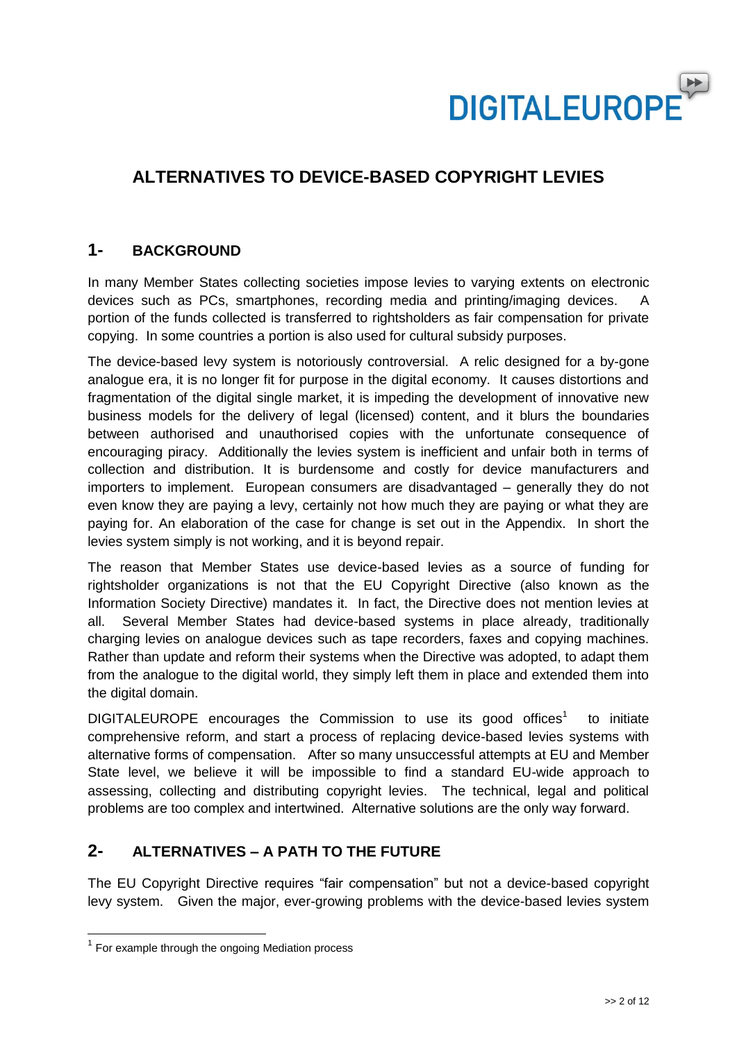

# **ALTERNATIVES TO DEVICE-BASED COPYRIGHT LEVIES**

### **1- BACKGROUND**

In many Member States collecting societies impose levies to varying extents on electronic devices such as PCs, smartphones, recording media and printing/imaging devices. A portion of the funds collected is transferred to rightsholders as fair compensation for private copying. In some countries a portion is also used for cultural subsidy purposes.

The device-based levy system is notoriously controversial. A relic designed for a by-gone analogue era, it is no longer fit for purpose in the digital economy. It causes distortions and fragmentation of the digital single market, it is impeding the development of innovative new business models for the delivery of legal (licensed) content, and it blurs the boundaries between authorised and unauthorised copies with the unfortunate consequence of encouraging piracy. Additionally the levies system is inefficient and unfair both in terms of collection and distribution. It is burdensome and costly for device manufacturers and importers to implement. European consumers are disadvantaged – generally they do not even know they are paying a levy, certainly not how much they are paying or what they are paying for. An elaboration of the case for change is set out in the Appendix. In short the levies system simply is not working, and it is beyond repair.

The reason that Member States use device-based levies as a source of funding for rightsholder organizations is not that the EU Copyright Directive (also known as the Information Society Directive) mandates it. In fact, the Directive does not mention levies at all. Several Member States had device-based systems in place already, traditionally charging levies on analogue devices such as tape recorders, faxes and copying machines. Rather than update and reform their systems when the Directive was adopted, to adapt them from the analogue to the digital world, they simply left them in place and extended them into the digital domain.

DIGITALEUROPE encourages the Commission to use its good offices<sup>1</sup> to initiate comprehensive reform, and start a process of replacing device-based levies systems with alternative forms of compensation. After so many unsuccessful attempts at EU and Member State level, we believe it will be impossible to find a standard EU-wide approach to assessing, collecting and distributing copyright levies. The technical, legal and political problems are too complex and intertwined. Alternative solutions are the only way forward.

### **2- ALTERNATIVES – A PATH TO THE FUTURE**

The EU Copyright Directive requires "fair compensation" but not a device-based copyright levy system. Given the major, ever-growing problems with the device-based levies system

<sup>&</sup>lt;u>media</u><br><sup>1</sup> For example through the ongoing Mediation process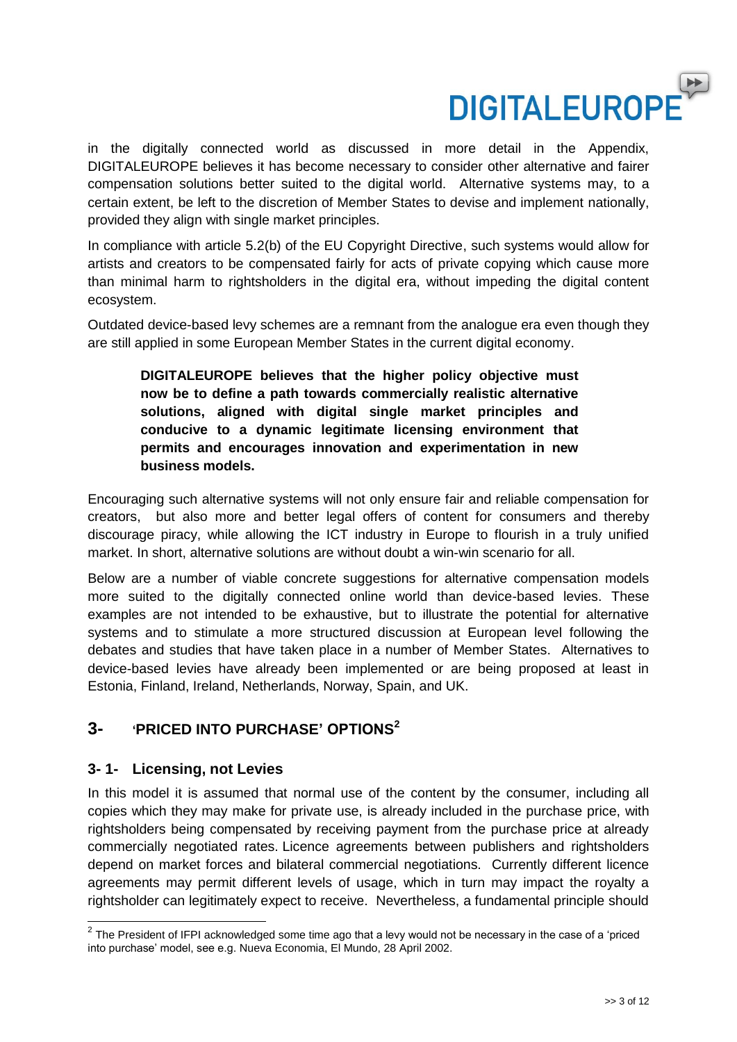

in the digitally connected world as discussed in more detail in the Appendix, DIGITALEUROPE believes it has become necessary to consider other alternative and fairer compensation solutions better suited to the digital world. Alternative systems may, to a certain extent, be left to the discretion of Member States to devise and implement nationally, provided they align with single market principles.

In compliance with article 5.2(b) of the EU Copyright Directive, such systems would allow for artists and creators to be compensated fairly for acts of private copying which cause more than minimal harm to rightsholders in the digital era, without impeding the digital content ecosystem.

Outdated device-based levy schemes are a remnant from the analogue era even though they are still applied in some European Member States in the current digital economy.

**DIGITALEUROPE believes that the higher policy objective must now be to define a path towards commercially realistic alternative solutions, aligned with digital single market principles and conducive to a dynamic legitimate licensing environment that permits and encourages innovation and experimentation in new business models.**

Encouraging such alternative systems will not only ensure fair and reliable compensation for creators, but also more and better legal offers of content for consumers and thereby discourage piracy, while allowing the ICT industry in Europe to flourish in a truly unified market. In short, alternative solutions are without doubt a win-win scenario for all.

Below are a number of viable concrete suggestions for alternative compensation models more suited to the digitally connected online world than device-based levies. These examples are not intended to be exhaustive, but to illustrate the potential for alternative systems and to stimulate a more structured discussion at European level following the debates and studies that have taken place in a number of Member States. Alternatives to device-based levies have already been implemented or are being proposed at least in Estonia, Finland, Ireland, Netherlands, Norway, Spain, and UK.

### **3- 'PRICED INTO PURCHASE' OPTIONS 2**

#### **3- 1- Licensing, not Levies**

 $\overline{\phantom{a}}$ 

In this model it is assumed that normal use of the content by the consumer, including all copies which they may make for private use, is already included in the purchase price, with rightsholders being compensated by receiving payment from the purchase price at already commercially negotiated rates. Licence agreements between publishers and rightsholders depend on market forces and bilateral commercial negotiations. Currently different licence agreements may permit different levels of usage, which in turn may impact the royalty a rightsholder can legitimately expect to receive. Nevertheless, a fundamental principle should

 $2$  The President of IFPI acknowledged some time ago that a levy would not be necessary in the case of a 'priced into purchase' model, see e.g. Nueva Economia, El Mundo, 28 April 2002.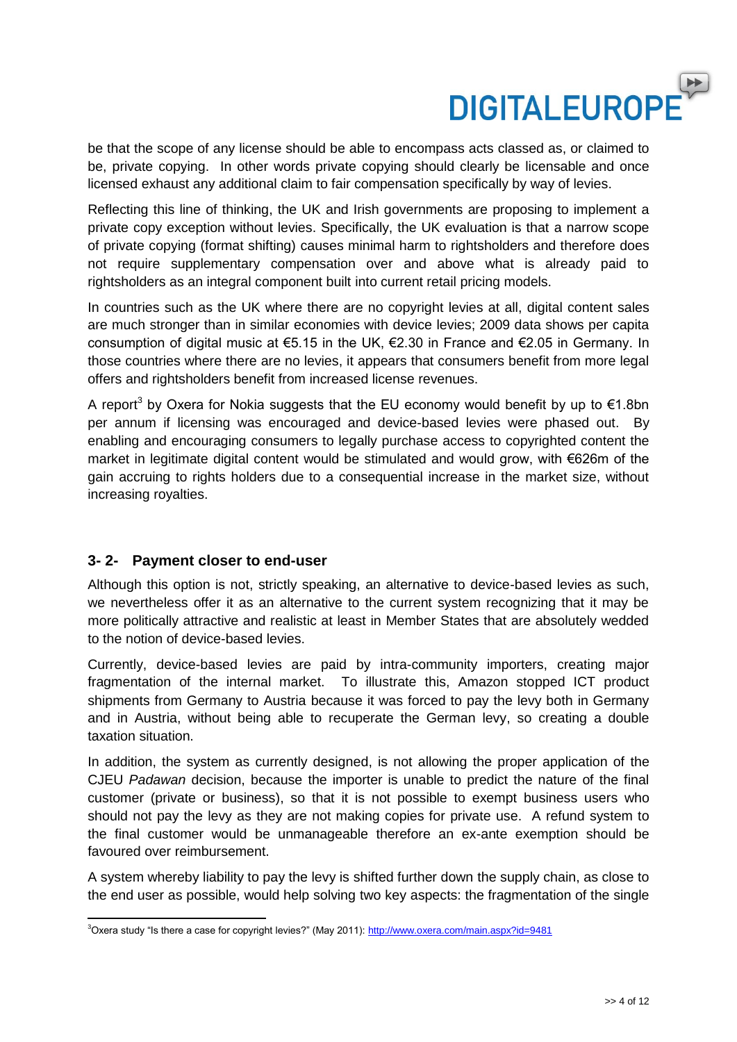

be that the scope of any license should be able to encompass acts classed as, or claimed to be, private copying. In other words private copying should clearly be licensable and once licensed exhaust any additional claim to fair compensation specifically by way of levies.

Reflecting this line of thinking, the UK and Irish governments are proposing to implement a private copy exception without levies. Specifically, the UK evaluation is that a narrow scope of private copying (format shifting) causes minimal harm to rightsholders and therefore does not require supplementary compensation over and above what is already paid to rightsholders as an integral component built into current retail pricing models.

In countries such as the UK where there are no copyright levies at all, digital content sales are much stronger than in similar economies with device levies; 2009 data shows per capita consumption of digital music at €5.15 in the UK, €2.30 in France and €2.05 in Germany. In those countries where there are no levies, it appears that consumers benefit from more legal offers and rightsholders benefit from increased license revenues.

A report<sup>3</sup> by Oxera for Nokia suggests that the EU economy would benefit by up to  $\epsilon$ 1.8bn per annum if licensing was encouraged and device-based levies were phased out. By enabling and encouraging consumers to legally purchase access to copyrighted content the market in legitimate digital content would be stimulated and would grow, with €626m of the gain accruing to rights holders due to a consequential increase in the market size, without increasing royalties.

#### **3- 2- Payment closer to end-user**

Although this option is not, strictly speaking, an alternative to device-based levies as such, we nevertheless offer it as an alternative to the current system recognizing that it may be more politically attractive and realistic at least in Member States that are absolutely wedded to the notion of device-based levies.

Currently, device-based levies are paid by intra-community importers, creating major fragmentation of the internal market. To illustrate this, Amazon stopped ICT product shipments from Germany to Austria because it was forced to pay the levy both in Germany and in Austria, without being able to recuperate the German levy, so creating a double taxation situation.

In addition, the system as currently designed, is not allowing the proper application of the CJEU *Padawan* decision, because the importer is unable to predict the nature of the final customer (private or business), so that it is not possible to exempt business users who should not pay the levy as they are not making copies for private use. A refund system to the final customer would be unmanageable therefore an ex-ante exemption should be favoured over reimbursement.

A system whereby liability to pay the levy is shifted further down the supply chain, as close to the end user as possible, would help solving two key aspects: the fragmentation of the single

 <sup>3</sup>Oxera study "Is there a case for copyright levies?" (May 2011)[: http://www.oxera.com/main.aspx?id=9481](http://www.oxera.com/main.aspx?id=9481)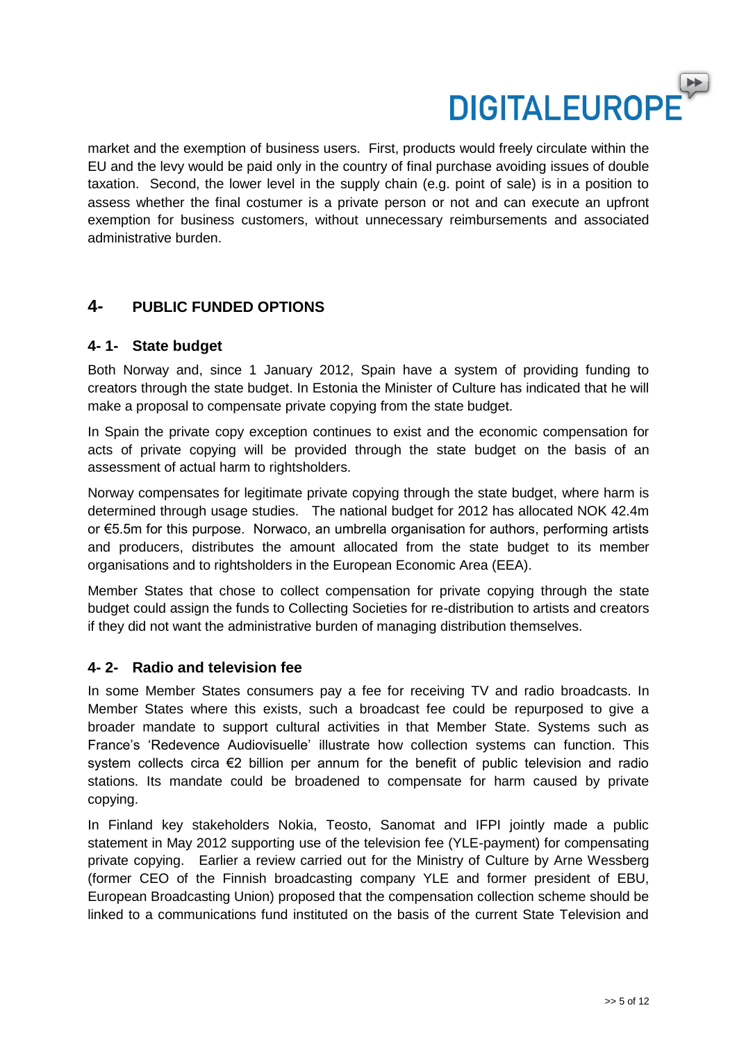

market and the exemption of business users. First, products would freely circulate within the EU and the levy would be paid only in the country of final purchase avoiding issues of double taxation. Second, the lower level in the supply chain (e.g. point of sale) is in a position to assess whether the final costumer is a private person or not and can execute an upfront exemption for business customers, without unnecessary reimbursements and associated administrative burden.

### **4- PUBLIC FUNDED OPTIONS**

#### **4- 1- State budget**

Both Norway and, since 1 January 2012, Spain have a system of providing funding to creators through the state budget. In Estonia the Minister of Culture has indicated that he will make a proposal to compensate private copying from the state budget.

In Spain the private copy exception continues to exist and the economic compensation for acts of private copying will be provided through the state budget on the basis of an assessment of actual harm to rightsholders.

Norway compensates for legitimate private copying through the state budget, where harm is determined through usage studies. The national budget for 2012 has allocated NOK 42.4m or €5.5m for this purpose. Norwaco, an umbrella organisation for authors, performing artists and producers, distributes the amount allocated from the state budget to its [member](http://www.norwaco.no/eng/About-Norwaco/Member-Organisations)  [organisations](http://www.norwaco.no/eng/About-Norwaco/Member-Organisations) and to rightsholders in the European Economic Area (EEA).

Member States that chose to collect compensation for private copying through the state budget could assign the funds to Collecting Societies for re-distribution to artists and creators if they did not want the administrative burden of managing distribution themselves.

#### **4- 2- Radio and television fee**

In some Member States consumers pay a fee for receiving TV and radio broadcasts. In Member States where this exists, such a broadcast fee could be repurposed to give a broader mandate to support cultural activities in that Member State. Systems such as France's 'Redevence Audiovisuelle' illustrate how collection systems can function. This system collects circa €2 billion per annum for the benefit of public television and radio stations. Its mandate could be broadened to compensate for harm caused by private copying.

In Finland key stakeholders Nokia, Teosto, Sanomat and IFPI jointly made a public statement in May 2012 supporting use of the television fee (YLE-payment) for compensating private copying. Earlier a review carried out for the Ministry of Culture by Arne Wessberg (former CEO of the Finnish broadcasting company YLE and former president of EBU, European Broadcasting Union) proposed that the compensation collection scheme should be linked to a communications fund instituted on the basis of the current State Television and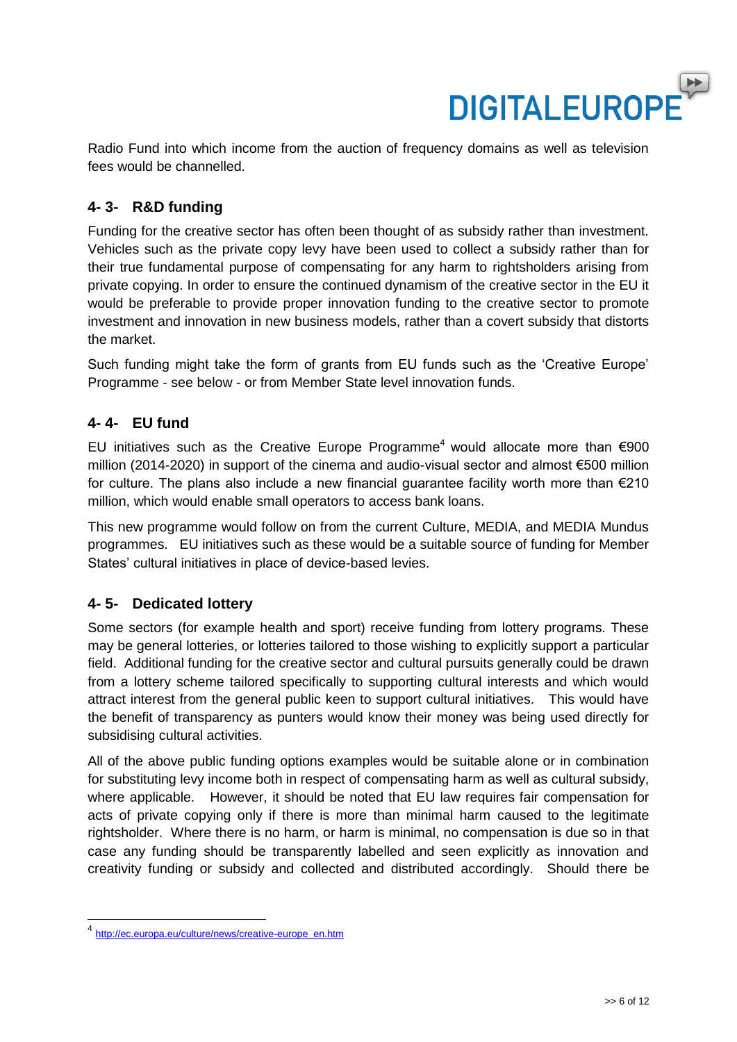

Radio Fund into which income from the auction of frequency domains as well as television fees would be channelled.

### **4- 3- R&D funding**

Funding for the creative sector has often been thought of as subsidy rather than investment. Vehicles such as the private copy levy have been used to collect a subsidy rather than for their true fundamental purpose of compensating for any harm to rightsholders arising from private copying. In order to ensure the continued dynamism of the creative sector in the EU it would be preferable to provide proper innovation funding to the creative sector to promote investment and innovation in new business models, rather than a covert subsidy that distorts the market.

Such funding might take the form of grants from EU funds such as the 'Creative Europe' Programme - see below - or from Member State level innovation funds.

#### **4- 4- EU fund**

EU initiatives such as the Creative Europe Programme<sup>4</sup> would allocate more than €900 million (2014-2020) in support of the cinema and audio-visual sector and almost €500 million for culture. The plans also include a new financial guarantee facility worth more than €210 million, which would enable small operators to access bank loans.

This new programme would follow on from the current Culture, MEDIA, and MEDIA Mundus programmes. EU initiatives such as these would be a suitable source of funding for Member States' cultural initiatives in place of device-based levies.

#### **4- 5- Dedicated lottery**

Some sectors (for example health and sport) receive funding from lottery programs. These may be general lotteries, or lotteries tailored to those wishing to explicitly support a particular field. Additional funding for the creative sector and cultural pursuits generally could be drawn from a lottery scheme tailored specifically to supporting cultural interests and which would attract interest from the general public keen to support cultural initiatives. This would have the benefit of transparency as punters would know their money was being used directly for subsidising cultural activities.

All of the above public funding options examples would be suitable alone or in combination for substituting levy income both in respect of compensating harm as well as cultural subsidy, where applicable. However, it should be noted that EU law requires fair compensation for acts of private copying only if there is more than minimal harm caused to the legitimate rightsholder. Where there is no harm, or harm is minimal, no compensation is due so in that case any funding should be transparently labelled and seen explicitly as innovation and creativity funding or subsidy and collected and distributed accordingly. Should there be

<sup>4</sup> [http://ec.europa.eu/culture/news/creative-europe\\_en.htm](http://ec.europa.eu/culture/news/creative-europe_en.htm)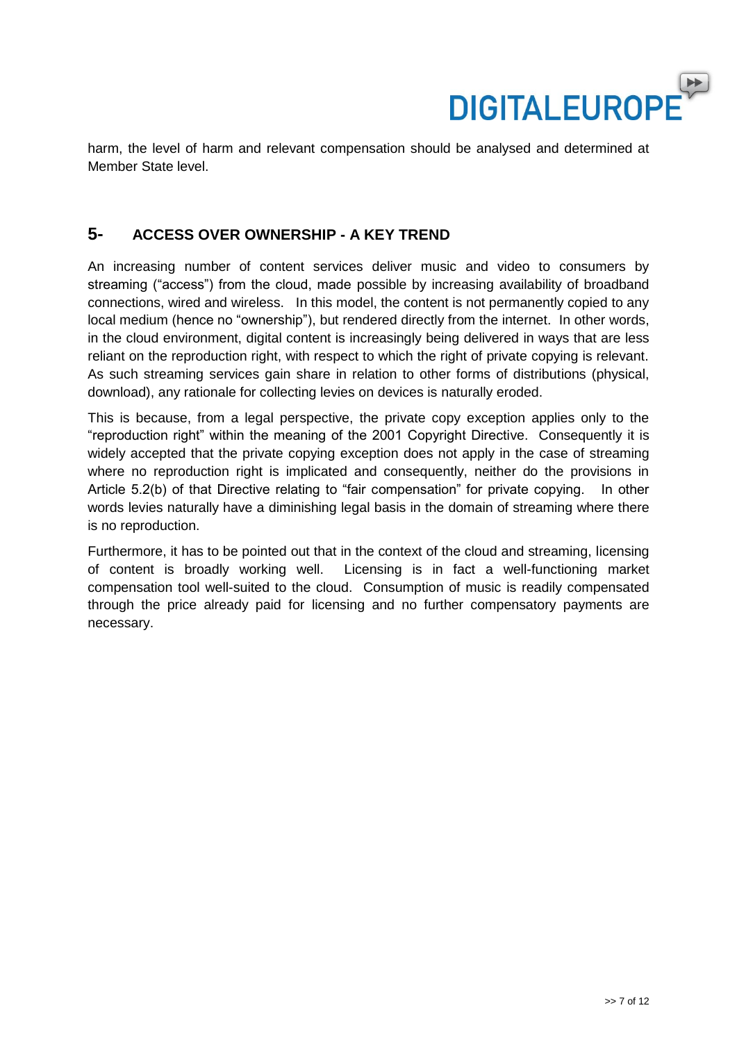

harm, the level of harm and relevant compensation should be analysed and determined at Member State level.

### **5- ACCESS OVER OWNERSHIP - A KEY TREND**

An increasing number of content services deliver music and video to consumers by streaming ("access") from the cloud, made possible by increasing availability of broadband connections, wired and wireless. In this model, the content is not permanently copied to any local medium (hence no "ownership"), but rendered directly from the internet. In other words, in the cloud environment, digital content is increasingly being delivered in ways that are less reliant on the reproduction right, with respect to which the right of private copying is relevant. As such streaming services gain share in relation to other forms of distributions (physical, download), any rationale for collecting levies on devices is naturally eroded.

This is because, from a legal perspective, the private copy exception applies only to the "reproduction right" within the meaning of the 2001 Copyright Directive. Consequently it is widely accepted that the private copying exception does not apply in the case of streaming where no reproduction right is implicated and consequently, neither do the provisions in Article 5.2(b) of that Directive relating to "fair compensation" for private copying. In other words levies naturally have a diminishing legal basis in the domain of streaming where there is no reproduction.

Furthermore, it has to be pointed out that in the context of the cloud and streaming, licensing of content is broadly working well. Licensing is in fact a well-functioning market compensation tool well-suited to the cloud. Consumption of music is readily compensated through the price already paid for licensing and no further compensatory payments are necessary.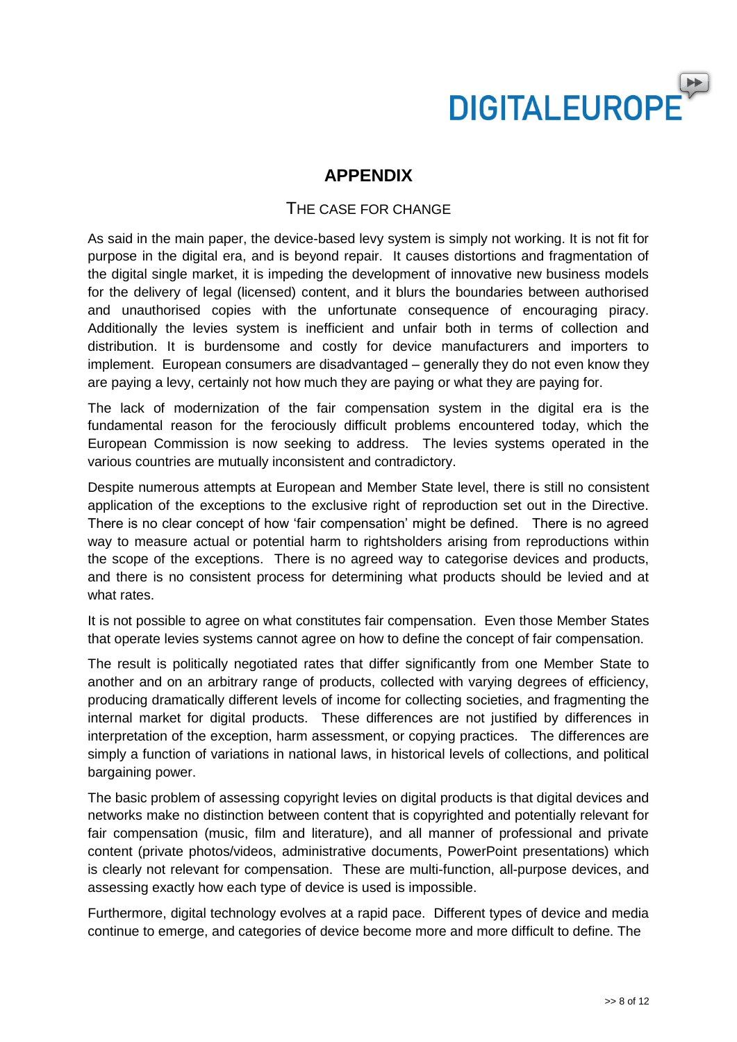

## **APPENDIX**

#### THE CASE FOR CHANGE

As said in the main paper, the device-based levy system is simply not working. It is not fit for purpose in the digital era, and is beyond repair. It causes distortions and fragmentation of the digital single market, it is impeding the development of innovative new business models for the delivery of legal (licensed) content, and it blurs the boundaries between authorised and unauthorised copies with the unfortunate consequence of encouraging piracy. Additionally the levies system is inefficient and unfair both in terms of collection and distribution. It is burdensome and costly for device manufacturers and importers to implement. European consumers are disadvantaged – generally they do not even know they are paying a levy, certainly not how much they are paying or what they are paying for.

The lack of modernization of the fair compensation system in the digital era is the fundamental reason for the ferociously difficult problems encountered today, which the European Commission is now seeking to address. The levies systems operated in the various countries are mutually inconsistent and contradictory.

Despite numerous attempts at European and Member State level, there is still no consistent application of the exceptions to the exclusive right of reproduction set out in the Directive. There is no clear concept of how 'fair compensation' might be defined. There is no agreed way to measure actual or potential harm to rightsholders arising from reproductions within the scope of the exceptions. There is no agreed way to categorise devices and products, and there is no consistent process for determining what products should be levied and at what rates.

It is not possible to agree on what constitutes fair compensation. Even those Member States that operate levies systems cannot agree on how to define the concept of fair compensation.

The result is politically negotiated rates that differ significantly from one Member State to another and on an arbitrary range of products, collected with varying degrees of efficiency, producing dramatically different levels of income for collecting societies, and fragmenting the internal market for digital products. These differences are not justified by differences in interpretation of the exception, harm assessment, or copying practices. The differences are simply a function of variations in national laws, in historical levels of collections, and political bargaining power.

The basic problem of assessing copyright levies on digital products is that digital devices and networks make no distinction between content that is copyrighted and potentially relevant for fair compensation (music, film and literature), and all manner of professional and private content (private photos/videos, administrative documents, PowerPoint presentations) which is clearly not relevant for compensation. These are multi-function, all-purpose devices, and assessing exactly how each type of device is used is impossible.

Furthermore, digital technology evolves at a rapid pace. Different types of device and media continue to emerge, and categories of device become more and more difficult to define. The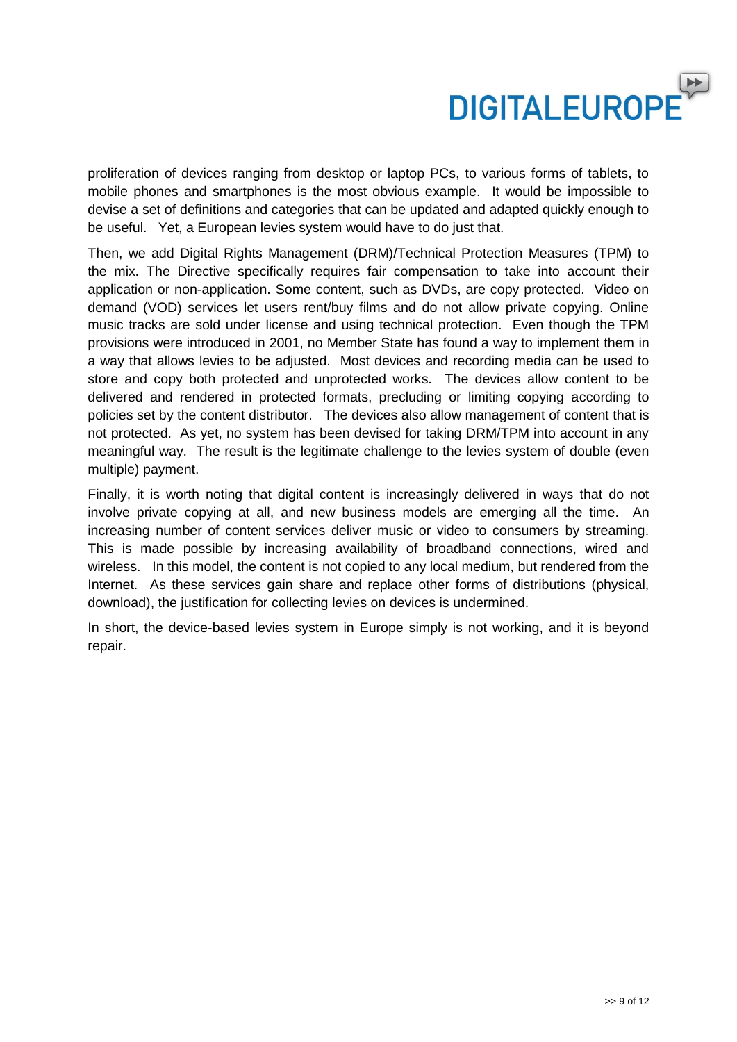

proliferation of devices ranging from desktop or laptop PCs, to various forms of tablets, to mobile phones and smartphones is the most obvious example. It would be impossible to devise a set of definitions and categories that can be updated and adapted quickly enough to be useful. Yet, a European levies system would have to do just that.

Then, we add Digital Rights Management (DRM)/Technical Protection Measures (TPM) to the mix. The Directive specifically requires fair compensation to take into account their application or non-application. Some content, such as DVDs, are copy protected. Video on demand (VOD) services let users rent/buy films and do not allow private copying. Online music tracks are sold under license and using technical protection. Even though the TPM provisions were introduced in 2001, no Member State has found a way to implement them in a way that allows levies to be adjusted. Most devices and recording media can be used to store and copy both protected and unprotected works. The devices allow content to be delivered and rendered in protected formats, precluding or limiting copying according to policies set by the content distributor. The devices also allow management of content that is not protected. As yet, no system has been devised for taking DRM/TPM into account in any meaningful way. The result is the legitimate challenge to the levies system of double (even multiple) payment.

Finally, it is worth noting that digital content is increasingly delivered in ways that do not involve private copying at all, and new business models are emerging all the time. An increasing number of content services deliver music or video to consumers by streaming. This is made possible by increasing availability of broadband connections, wired and wireless. In this model, the content is not copied to any local medium, but rendered from the Internet. As these services gain share and replace other forms of distributions (physical, download), the justification for collecting levies on devices is undermined.

In short, the device-based levies system in Europe simply is not working, and it is beyond repair.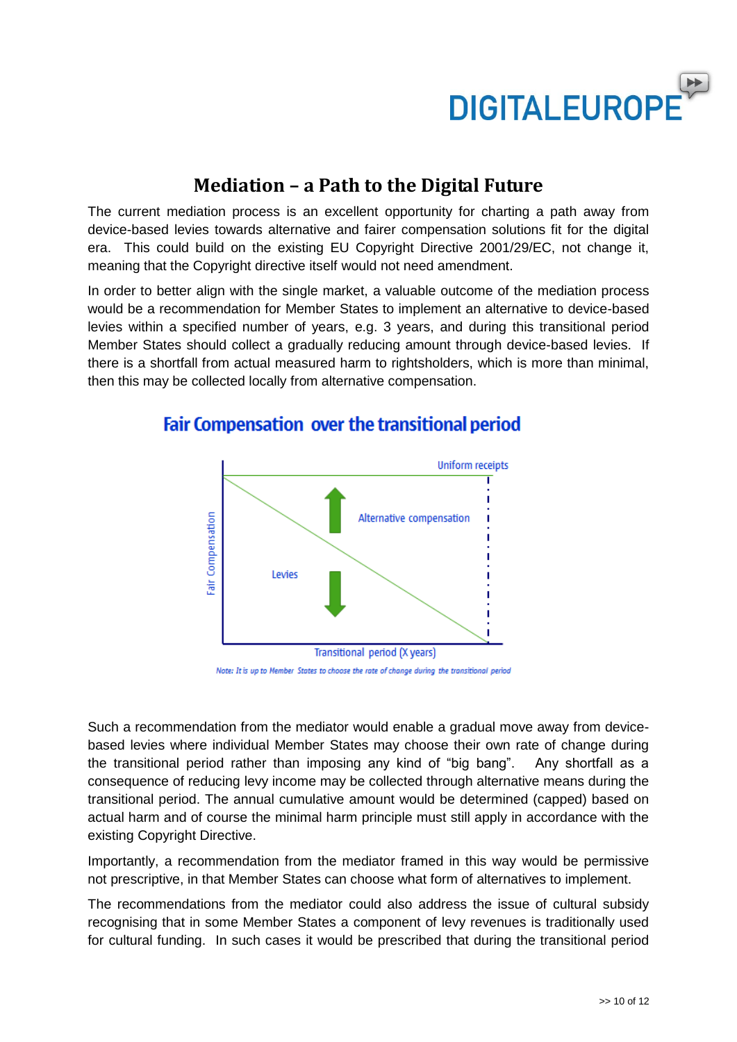

# **Mediation – a Path to the Digital Future**

The current mediation process is an excellent opportunity for charting a path away from device-based levies towards alternative and fairer compensation solutions fit for the digital era. This could build on the existing EU Copyright Directive 2001/29/EC, not change it, meaning that the Copyright directive itself would not need amendment.

In order to better align with the single market, a valuable outcome of the mediation process would be a recommendation for Member States to implement an alternative to device-based levies within a specified number of years, e.g. 3 years, and during this transitional period Member States should collect a gradually reducing amount through device-based levies. If there is a shortfall from actual measured harm to rightsholders, which is more than minimal, then this may be collected locally from alternative compensation.



# **Fair Compensation over the transitional period**

Note: It is up to Member States to choose the rate of change during the transitional period

Such a recommendation from the mediator would enable a gradual move away from devicebased levies where individual Member States may choose their own rate of change during the transitional period rather than imposing any kind of "big bang". Any shortfall as a consequence of reducing levy income may be collected through alternative means during the transitional period. The annual cumulative amount would be determined (capped) based on actual harm and of course the minimal harm principle must still apply in accordance with the existing Copyright Directive.

Importantly, a recommendation from the mediator framed in this way would be permissive not prescriptive, in that Member States can choose what form of alternatives to implement.

The recommendations from the mediator could also address the issue of cultural subsidy recognising that in some Member States a component of levy revenues is traditionally used for cultural funding. In such cases it would be prescribed that during the transitional period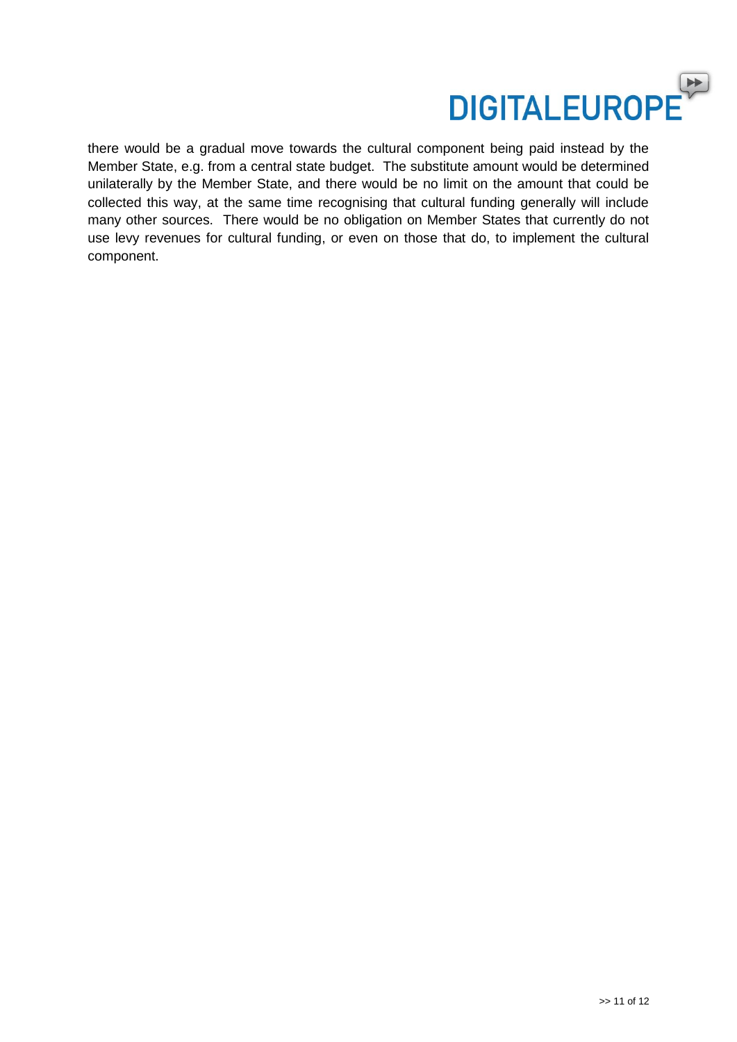

there would be a gradual move towards the cultural component being paid instead by the Member State, e.g. from a central state budget. The substitute amount would be determined unilaterally by the Member State, and there would be no limit on the amount that could be collected this way, at the same time recognising that cultural funding generally will include many other sources. There would be no obligation on Member States that currently do not use levy revenues for cultural funding, or even on those that do, to implement the cultural component.